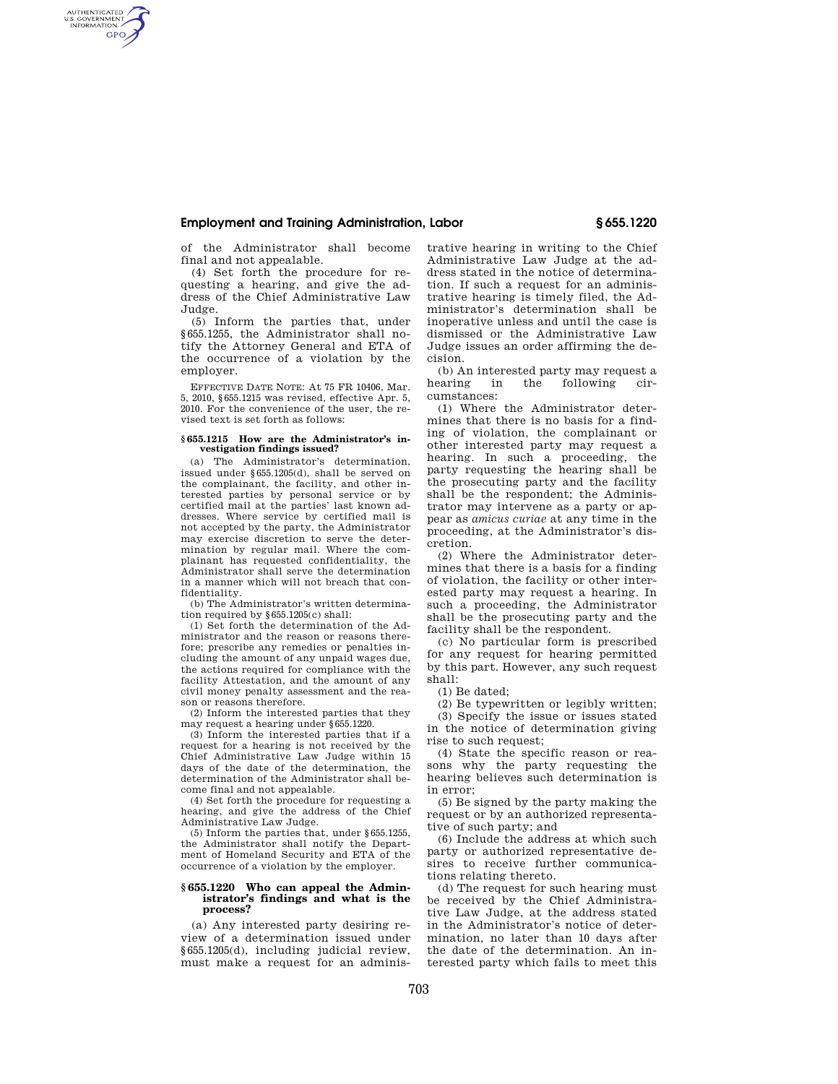# **Employment and Training Administration, Labor § 655.1220**

of the Administrator shall become final and not appealable.

AUTHENTICATED<br>U.S. GOVERNMENT<br>INFORMATION **GPO** 

> (4) Set forth the procedure for requesting a hearing, and give the address of the Chief Administrative Law Judge.

> (5) Inform the parties that, under §655.1255, the Administrator shall notify the Attorney General and ETA of the occurrence of a violation by the employer.

> EFFECTIVE DATE NOTE: At 75 FR 10406, Mar. 5, 2010, §655.1215 was revised, effective Apr. 5, 2010. For the convenience of the user, the revised text is set forth as follows:

#### **§ 655.1215 How are the Administrator's investigation findings issued?**

(a) The Administrator's determination, issued under §655.1205(d), shall be served on the complainant, the facility, and other interested parties by personal service or by certified mail at the parties' last known addresses. Where service by certified mail is not accepted by the party, the Administrator may exercise discretion to serve the determination by regular mail. Where the complainant has requested confidentiality, the Administrator shall serve the determination in a manner which will not breach that confidentiality.

(b) The Administrator's written determination required by §655.1205(c) shall:

(1) Set forth the determination of the Administrator and the reason or reasons therefore; prescribe any remedies or penalties including the amount of any unpaid wages due, the actions required for compliance with the facility Attestation, and the amount of any civil money penalty assessment and the reason or reasons therefore.

(2) Inform the interested parties that they may request a hearing under §655.1220.

(3) Inform the interested parties that if a request for a hearing is not received by the Chief Administrative Law Judge within 15 days of the date of the determination, the determination of the Administrator shall become final and not appealable.

(4) Set forth the procedure for requesting a hearing, and give the address of the Chief Administrative Law Judge.

(5) Inform the parties that, under §655.1255, the Administrator shall notify the Department of Homeland Security and ETA of the occurrence of a violation by the employer.

#### **§ 655.1220 Who can appeal the Administrator's findings and what is the process?**

(a) Any interested party desiring review of a determination issued under §655.1205(d), including judicial review, must make a request for an administrative hearing in writing to the Chief Administrative Law Judge at the address stated in the notice of determination. If such a request for an administrative hearing is timely filed, the Administrator's determination shall be inoperative unless and until the case is dismissed or the Administrative Law Judge issues an order affirming the decision.

(b) An interested party may request a<br>hearing in the following cirfollowing cumstances:

(1) Where the Administrator determines that there is no basis for a finding of violation, the complainant or other interested party may request a hearing. In such a proceeding, the party requesting the hearing shall be the prosecuting party and the facility shall be the respondent; the Administrator may intervene as a party or appear as *amicus curiae* at any time in the proceeding, at the Administrator's discretion.

(2) Where the Administrator determines that there is a basis for a finding of violation, the facility or other interested party may request a hearing. In such a proceeding, the Administrator shall be the prosecuting party and the facility shall be the respondent.

(c) No particular form is prescribed for any request for hearing permitted by this part. However, any such request shall:

(1) Be dated;

(2) Be typewritten or legibly written;

(3) Specify the issue or issues stated in the notice of determination giving rise to such request;

(4) State the specific reason or reasons why the party requesting the hearing believes such determination is in error;

(5) Be signed by the party making the request or by an authorized representative of such party; and

(6) Include the address at which such party or authorized representative desires to receive further communications relating thereto.

(d) The request for such hearing must be received by the Chief Administrative Law Judge, at the address stated in the Administrator's notice of determination, no later than 10 days after the date of the determination. An interested party which fails to meet this